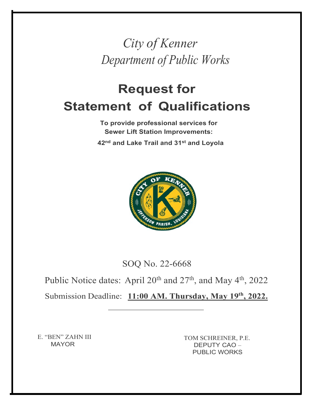*City of Kenner Department of Public Works*

## **Request for Statement of Qualifications**

**To provide professional services for Sewer Lift Station Improvements: 42nd and Lake Trail and 31st and Loyola**



SOQ No. 22-6668

Public Notice dates: April 20<sup>th</sup> and 27<sup>th</sup>, and May 4<sup>th</sup>, 2022

Submission Deadline: **11:00 AM. Thursday, May 19th, 2022.**

E. "BEN" ZAHN III MAYOR

TOM SCHREINER, P.E. DEPUTY CAO – PUBLIC WORKS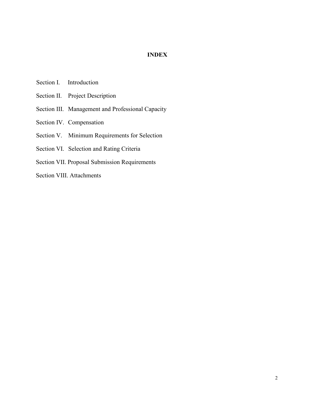#### **INDEX**

- Section I. Introduction
- Section II. Project Description
- Section III. Management and Professional Capacity
- Section IV. Compensation
- Section V. Minimum Requirements for Selection
- Section VI. Selection and Rating Criteria
- Section VII. Proposal Submission Requirements
- Section VIII. Attachments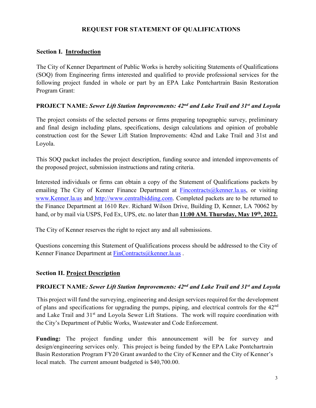#### **REQUEST FOR STATEMENT OF QUALIFICATIONS**

#### **Section I. Introduction**

The City of Kenner Department of Public Works is hereby soliciting Statements of Qualifications (SOQ) from Engineering firms interested and qualified to provide professional services for the following project funded in whole or part by an EPA Lake Pontchartrain Basin Restoration Program Grant:

#### **PROJECT NAME:** *Sewer Lift Station Improvements: 42nd and Lake Trail and 31st and Loyola*

The project consists of the selected persons or firms preparing topographic survey, preliminary and final design including plans, specifications, design calculations and opinion of probable construction cost for the Sewer Lift Station Improvements: 42nd and Lake Trail and 31st and Loyola.

This SOQ packet includes the project description, funding source and intended improvements of the proposed project, submission instructions and rating criteria.

Interested individuals or firms can obtain a copy of the Statement of Qualifications packets by emailing The City of Kenner Finance Department at [Fincontracts@kenner.la.us,](mailto:Fincontracts@kenner.la.us) or visiting [www.Kenner.la.us](http://www.kenner.la.us/) and [http://www.centralbidding.com.](http://www.centralbidding.com/) Completed packets are to be returned to the Finance Department at 1610 Rev. Richard Wilson Drive, Building D, Kenner, LA 70062 by hand, or by mail via USPS, Fed Ex, UPS, etc. no later than **11:00 AM. Thursday, May 19th, 2022.**

The City of Kenner reserves the right to reject any and all submissions.

Questions concerning this Statement of Qualifications process should be addressed to the City of Kenner Finance Department at [FinContracts@kenner.la.us](mailto:FinContracts@kenner.la.us).

#### **Section II. Project Description**

#### **PROJECT NAME***: Sewer Lift Station Improvements: 42nd and Lake Trail and 31st and Loyola*

This project will fund the surveying, engineering and design services required for the development of plans and specifications for upgrading the pumps, piping, and electrical controls for the 42nd and Lake Trail and 31<sup>st</sup> and Loyola Sewer Lift Stations. The work will require coordination with the City's Department of Public Works, Wastewater and Code Enforcement.

**Funding:** The project funding under this announcement will be for survey and design/engineering services only. This project is being funded by the EPA Lake Pontchartrain Basin Restoration Program FY20 Grant awarded to the City of Kenner and the City of Kenner's local match. The current amount budgeted is \$40,700.00.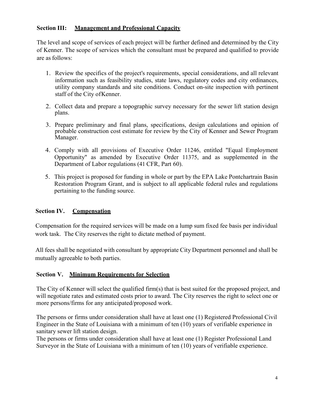#### **Section III: Management and Professional Capacity**

The level and scope of services of each project will be further defined and determined by the City of Kenner. The scope of services which the consultant must be prepared and qualified to provide are as follows:

- 1. Review the specifics of the project's requirements, special considerations, and all relevant information such as feasibility studies, state laws, regulatory codes and city ordinances, utility company standards and site conditions. Conduct on-site inspection with pertinent staff of the City ofKenner.
- 2. Collect data and prepare a topographic survey necessary for the sewer lift station design plans.
- 3. Prepare preliminary and final plans, specifications, design calculations and opinion of probable construction cost estimate for review by the City of Kenner and Sewer Program Manager.
- 4. Comply with all provisions of Executive Order 11246, entitled "Equal Employment Opportunity" as amended by Executive Order 11375, and as supplemented in the Department of Labor regulations (41 CFR, Part 60).
- 5. This project is proposed for funding in whole or part by the EPA Lake Pontchartrain Basin Restoration Program Grant, and is subject to all applicable federal rules and regulations pertaining to the funding source.

#### **Section IV. Compensation**

Compensation for the required services will be made on a lump sum fixed fee basis per individual work task. The City reserves the right to dictate method of payment.

All fees shall be negotiated with consultant by appropriate City Department personnel and shall be mutually agreeable to both parties.

#### **Section V. Minimum Requirements for Selection**

The City of Kenner will select the qualified firm(s) that is best suited for the proposed project, and will negotiate rates and estimated costs prior to award. The City reserves the right to select one or more persons/firms for any anticipated/proposed work.

The persons or firms under consideration shall have at least one (1) Registered Professional Civil Engineer in the State of Louisiana with a minimum of ten (10) years of verifiable experience in sanitary sewer lift station design.

The persons or firms under consideration shall have at least one (1) Register Professional Land Surveyor in the State of Louisiana with a minimum of ten (10) years of verifiable experience.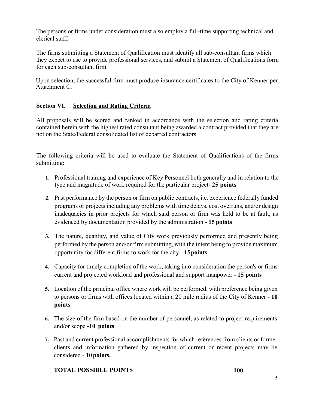The persons or firms under consideration must also employ a full-time supporting technical and clerical staff.

The firms submitting a Statement of Qualification must identify all sub-consultant firms which they expect to use to provide professional services, and submit a Statement of Qualifications form for each sub-consultant firm.

Upon selection, the successful firm must produce insurance certificates to the City of Kenner per Attachment C.

#### **Section VI. Selection and Rating Criteria**

All proposals will be scored and ranked in accordance with the selection and rating criteria contained herein with the highest rated consultant being awarded a contract provided that they are not on the State/Federal consolidated list of debarred contractors

The following criteria will be used to evaluate the Statement of Qualifications of the firms submitting:

- **1.** Professional training and experience of Key Personnel both generally and in relation to the type and magnitude of work required for the particular project- **25 points**
- **2.** Past performance by the person or firm on public contracts, i.e. experience federally funded programs or projects including any problems with time delays, cost overruns, and/or design inadequacies in prior projects for which said person or firm was held to be at fault, as evidenced by documentation provided by the administration - **15 points**
- **3.** The nature, quantity, and value of City work previously performed and presently being performed by the person and/or firm submitting, with the intent being to provide maximum opportunity for different firms to work for the city - **15points**
- **4.** Capacity for timely completion of the work, taking into consideration the person's or firms current and projected workload and professional and support manpower - **15 points**
- **5.** Location of the principal office where work will be performed, with preference being given to persons or firms with offices located within a 20 mile radius of the City of Kenner - **10 points**
- **6.** The size of the firm based on the number of personnel, as related to project requirements and/or scope **-10 points**
- **7.** Past and current professional accomplishments for which references from clients or former clients and information gathered by inspection of current or recent projects may be considered - **10 points.**

#### **TOTAL POSSIBLE POINTS 100**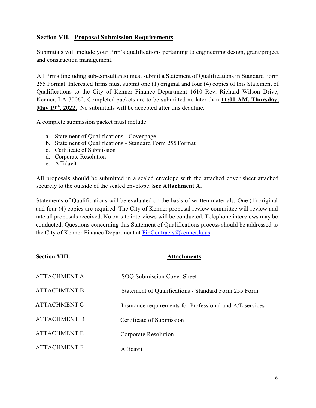#### **Section VII. Proposal Submission Requirements**

Submittals will include your firm's qualifications pertaining to engineering design, grant/project and construction management.

All firms (including sub-consultants) must submit a Statement of Qualifications in Standard Form 255 Format. Interested firms must submit one (1) original and four (4) copies of this Statement of Qualifications to the City of Kenner Finance Department 1610 Rev. Richard Wilson Drive, Kenner, LA 70062. Completed packets are to be submitted no later than **11:00 AM. Thursday,** May 19<sup>th</sup>, 2022. No submittals will be accepted after this deadline.

A complete submission packet must include:

- a. Statement of Qualifications Coverpage
- b. Statement of Qualifications Standard Form 255 Format
- c. Certificate of Submission
- d. Corporate Resolution
- e. Affidavit

All proposals should be submitted in a sealed envelope with the attached cover sheet attached securely to the outside of the sealed envelope. **See Attachment A.**

Statements of Qualifications will be evaluated on the basis of written materials. One (1) original and four (4) copies are required. The City of Kenner proposal review committee will review and rate all proposals received. No on-site interviews will be conducted. Telephone interviews may be conducted. Questions concerning this Statement of Qualifications process should be addressed to the City of Kenner Finance Department at [FinContracts@kenner.la.us](mailto:FinContracts@kenner.la.us)

| <b>Section VIII.</b> | <b>Attachments</b>                                       |
|----------------------|----------------------------------------------------------|
| <b>ATTACHMENT A</b>  | SOQ Submission Cover Sheet                               |
| <b>ATTACHMENT B</b>  | Statement of Qualifications - Standard Form 255 Form     |
| <b>ATTACHMENT C</b>  | Insurance requirements for Professional and A/E services |
| <b>ATTACHMENT D</b>  | Certificate of Submission                                |
| <b>ATTACHMENT E</b>  | Corporate Resolution                                     |
| <b>ATTACHMENT F</b>  | Affidavit                                                |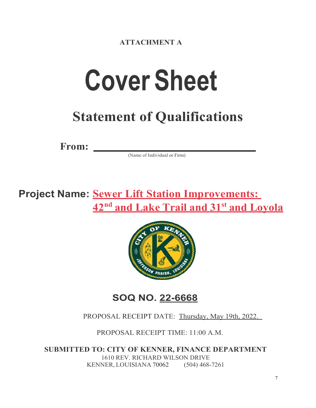**ATTACHMENT A**

# **Cover Sheet**

## **Statement of Qualifications**

**From:**

(Name of Individual or Firm)

## **Project Name: Sewer Lift Station Improvements: 42nd and Lake Trail and 31st and Loyola**



### **SOQ NO. 22-6668**

#### PROPOSAL RECEIPT DATE: Thursday, May 19th, 2022.

PROPOSAL RECEIPT TIME: 11:00 A.M.

**SUBMITTED TO: CITY OF KENNER, FINANCE DEPARTMENT** 1610 REV. RICHARD WILSON DRIVE KENNER, LOUISIANA 70062 (504) 468-7261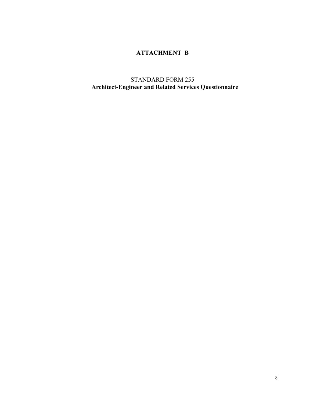#### **ATTACHMENT B**

STANDARD FORM 255 **Architect-Engineer and Related Services Questionnaire**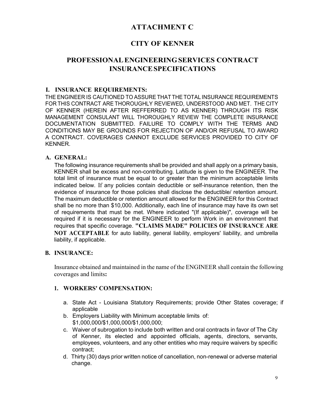#### **ATTACHMENT C**

#### **CITY OF KENNER**

#### **PROFESSIONALENGINEERINGSERVICES CONTRACT INSURANCESPECIFICATIONS**

#### **I. INSURANCE REQUIREMENTS:**

THE ENGINEER IS CAUTIONED TO ASSURE THAT THETOTAL INSURANCE REQUIREMENTS FOR THIS CONTRACT ARE THOROUGHLY REVIEWED, UNDERSTOOD AND MET. THE CITY OF KENNER (HEREIN AFTER REFFERRED TO AS KENNER) THROUGH ITS RISK MANAGEMENT CONSULANT WILL THOROUGHLY REVIEW THE COMPLETE INSURANCE DOCUMENTATION SUBMITTED. FAILURE TO COMPLY WITH THE TERMS AND CONDITIONS MAY BE GROUNDS FOR REJECTION OF AND/OR REFUSAL TO AWARD A CONTRACT. COVERAGES CANNOT EXCLUDE SERVICES PROVIDED TO CITY OF KENNER.

#### **A. GENERAL:**

The following insurance requirements shall be provided and shall apply on a primary basis, KENNER shall be excess and non-contributing. Latitude is given to the ENGINEER. The total limit of insurance must be equal to or greater than the minimum acceptable limits indicated below. If any policies contain deductible or self-insurance retention, then the evidence of insurance for those policies shall disclose the deductible/ retention amount. The maximum deductible or retention amount allowed for the ENGINEER for this Contract shall be no more than \$10,000. Additionally, each line of insurance may have its own set of requirements that must be met. Where indicated "(If applicable)", coverage will be required if it is necessary for the ENGINEER to perform Work in an environment that requires that specific coverage. **"CLAIMS MADE" POLICIES OF INSURANCE ARE NOT ACCEPTABLE** for auto liability, general liability, employers' liability, and umbrella liability, if applicable.

#### **B. INSURANCE:**

Insurance obtained and maintained in the name of the ENGINEER shall contain the following coverages and limits**:**

#### **1. WORKERS' COMPENSATION:**

- a. State Act Louisiana Statutory Requirements; provide Other States coverage; if applicable
- b. Employers Liability with Minimum acceptable limits of: \$1,000,000/\$1,000,000/\$1,000,000;
- c. Waiver of subrogation to include both written and oral contracts in favor of The City of Kenner, its elected and appointed officials, agents, directors, servants, employees, volunteers, and any other entities who may require waivers by specific contract;
- d. Thirty (30) days prior written notice of cancellation, non-renewal or adverse material change.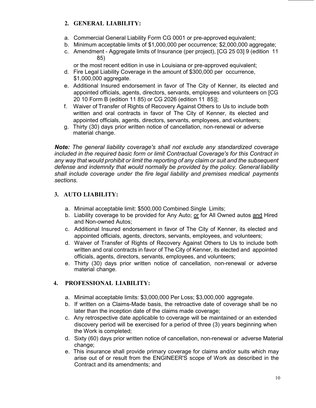#### **2. GENERAL LIABILITY:**

- a. Commercial General Liability Form CG 0001 or pre-approved equivalent;
- b. Minimum acceptable limits of \$1,000,000 per occurrence; \$2,000,000 aggregate;
- c. Amendment Aggregate limits of Insurance (per project), [CG 25 03] 9 (edition 11 85)

or the most recent edition in use in Louisiana or pre-approved equivalent;

- d. Fire Legal Liability Coverage in the amount of \$300,000 per occurrence, \$1,000,000 aggregate.
- e. Additional Insured endorsement in favor of The City of Kenner, its elected and appointed officials, agents, directors, servants, employees and volunteers on [CG 20 10 Form B (edition 11 85) or CG 2026 (edition 11 85)];
- f. Waiver of Transfer of Rights of Recovery Against Others to Us to include both written and oral contracts in favor of The City of Kenner, its elected and appointed officials, agents, directors, servants, employees, and volunteers;
- g. Thirty (30) days prior written notice of cancellation, non-renewal or adverse material change.

*Note: The general liability coverage's shall not exclude any standardized coverage included in the required basic form or limit Contractual Coverage's for this Contract in any way that would prohibit or limit the reporting of any claim or suit and the subsequent defense and indemnity that would normally be provided by the policy. General liability shall include coverage under the fire legal liability and premises medical payments sections.*

#### **3. AUTO LIABILITY:**

- a. Minimal acceptable limit: \$500,000 Combined Single Limits;
- b. Liability coverage to be provided for Any Auto; or for All Owned autos and Hired and Non-owned Autos;
- c. Additional Insured endorsement in favor of The City of Kenner, its elected and appointed officials, agents, directors, servants, employees, and volunteers;
- d. Waiver of Transfer of Rights of Recovery Against Others to Us to include both written and oral contracts in favor of The City of Kenner, its elected and appointed officials, agents, directors, servants, employees, and volunteers;
- e. Thirty (30) days prior written notice of cancellation, non-renewal or adverse material change.

#### **4. PROFESSIONAL LIABILITY:**

- a. Minimal acceptable limits: \$3,000,000 Per Loss; \$3,000,000 aggregate.
- b. If written on a Claims-Made basis, the retroactive date of coverage shall be no later than the inception date of the claims made coverage;
- c. Any retrospective date applicable to coverage will be maintained or an extended discovery period will be exercised for a period of three (3) years beginning when the Work is completed;
- d. Sixty (60) days prior written notice of cancellation, non-renewal or adverse Material change;
- e. This insurance shall provide primary coverage for claims and/or suits which may arise out of or result from the ENGINEER'S scope of Work as described in the Contract and its amendments; and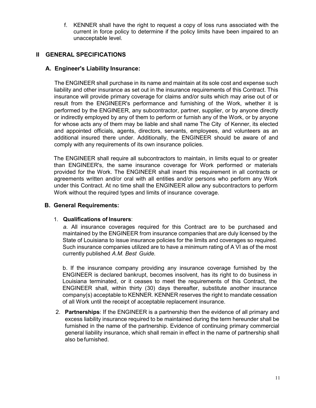f. KENNER shall have the right to request a copy of loss runs associated with the current in force policy to determine if the policy limits have been impaired to an unacceptable level.

#### **II GENERAL SPECIFICATIONS**

#### **A. Engineer's Liability Insurance:**

The ENGINEER shall purchase in its name and maintain at its sole cost and expense such liability and other insurance as set out in the insurance requirements of this Contract. This insurance will provide primary coverage for claims and/or suits which may arise out of or result from the ENGINEER's performance and furnishing of the Work, whether it is performed by the ENGINEER, any subcontractor, partner, supplier, or by anyone directly or indirectly employed by any of them to perform or furnish any of the Work, or by anyone for whose acts any of them may be liable and shall name The City of Kenner, its elected and appointed officials, agents, directors, servants, employees, and volunteers as an additional insured there under. Additionally, the ENGINEER should be aware of and comply with any requirements of its own insurance policies.

The ENGINEER shall require all subcontractors to maintain, in limits equal to or greater than ENGINEER's, the same insurance coverage for Work performed or materials provided for the Work. The ENGINEER shall insert this requirement in all contracts or agreements written and/or oral with all entities and/or persons who perform any Work under this Contract. At no time shall the ENGINEER allow any subcontractors to perform Work without the required types and limits of insurance coverage.

#### **B. General Requirements:**

#### 1. **Qualifications of Insurers**:

*a.* All insurance coverages required for this Contract are to be purchased and maintained by the ENGINEER from insurance companies that are duly licensed by the State of Louisiana to issue insurance policies for the limits and coverages so required. Such insurance companies utilized are to have a minimum rating of A VI as of the most currently published *A.M. Best Guide.*

b. If the insurance company providing any insurance coverage furnished by the ENGINEER is declared bankrupt, becomes insolvent, has its right to do business in Louisiana terminated, or it ceases to meet the requirements of this Contract, the ENGINEER shall, within thirty (30) days thereafter, substitute another insurance company(s) acceptable to KENNER. KENNER reserves the right to mandate cessation of all Work until the receipt of acceptable replacement insurance.

2. **Partnerships**: If the ENGINEER is a partnership then the evidence of all primary and excess liability insurance required to be maintained during the term hereunder shall be furnished in the name of the partnership. Evidence of continuing primary commercial general liability insurance, which shall remain in effect in the name of partnership shall also befurnished.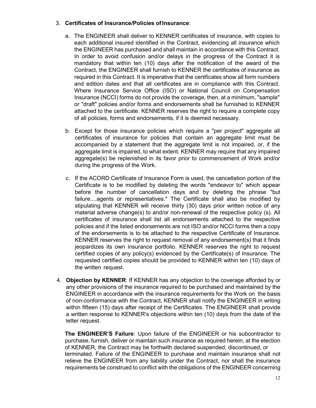#### 3. **Certificates of Insurance/Policies ofInsurance**:

- a. The ENGINEER shall deliver to KENNER certificates of insurance, with copies to each additional insured identified in the Contract, evidencing all insurance which the ENGINEER has purchased and shall maintain in accordance with this Contract. In order to avoid confusion and/or delays in the progress of the Contract it is mandatory that within ten (10) days after the notification of the award of the Contract, the ENGINEER shall furnish to KENNER the certificates of insurance as required in this Contract. It is imperative that the certificates show all form numbers and edition dates and that all certificates are in compliance with this Contract. Where Insurance Service Office (ISO) or National Council on Compensation Insurance (NCCI) forms do not provide the coverage, then, at a minimum, "sample" or "draft" policies and/or forms and endorsements shall be furnished to KENNER attached to the certificate. KENNER reserves the right to require a complete copy of all policies, forms and endorsements, if it is deemed necessary.
- b. Except for those insurance policies which require a "per project" aggregate all certificates of insurance for policies that contain an aggregate limit must be accompanied by a statement that the aggregate limit is not impaired, or, if the aggregate limit is impaired, to what extent. KENNER may require that any impaired aggregate(s) be replenished in its favor prior to commencement of Work and/or during the progress of the Work.
- c. If the ACORD Certificate of Insurance Form is used, the cancellation portion of the Certificate is to be modified by deleting the words "endeavor to" which appear before the number of cancellation days and by deleting the phrase "but failure....agents or representatives." The Certificate shall also be modified by stipulating that KENNER will receive thirty (30) days prior written notice of any material adverse change(s) to and/or non-renewal of the respective policy (s). All certificates of insurance shall list all endorsements attached to the respective policies and if the listed endorsements are not ISO and/or NCCI forms then a copy of the endorsements is to be attached to the respective Certificate of Insurance. KENNER reserves the right to request removal of any endorsement(s) that it finds jeopardizes its own insurance portfolio. KENNER reserves the right to request certified copies of any policy(s) evidenced by the Certificate(s) of Insurance. The requested certified copies should be provided to KENNER within ten (10) days of the written request.
- 4. **Objection by KENNER**: If KENNER has any objection to the coverage afforded by or any other provisions of the insurance required to be purchased and maintained by the ENGINEER in accordance with the insurance requirements for the Work on the basis of non-conformance with the Contract, KENNER shall notify the ENGINEER in writing within fifteen (15) days after receipt of the Certificates. The ENGINEER shall provide a written response to KENNER's objections within ten (10) days from the date of the letter request.

**The ENGINEER'S Failure**: Upon failure of the ENGINEER or his subcontractor to purchase, furnish, deliver or maintain such insurance as required herein, at the election of KENNER, the Contract may be forthwith declared suspended, discontinued, or terminated. Failure of the ENGINEER to purchase and maintain insurance shall not relieve the ENGINEER from any liability under the Contract, nor shall the insurance requirements be construed to conflict with the obligations of the ENGINEER concerning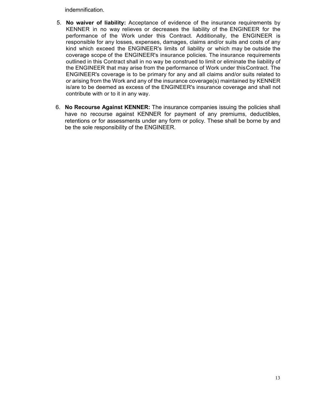indemnification.

- 5. **No waiver of liability:** Acceptance of evidence of the insurance requirements by KENNER in no way relieves or decreases the liability of the ENGINEER for the performance of the Work under this Contract. Additionally, the ENGINEER is responsible for any losses, expenses, damages, claims and/or suits and costs of any kind which exceed the ENGINEER's limits of liability or which may be outside the coverage scope of the ENGINEER's insurance policies. The insurance requirements outlined in this Contract shall in no way be construed to limit or eliminate the liability of the ENGINEER that may arise from the performance of Work under thisContract. The ENGINEER's coverage is to be primary for any and all claims and/or suits related to or arising from the Work and any of the insurance coverage(s) maintained by KENNER is/are to be deemed as excess of the ENGINEER's insurance coverage and shall not contribute with or to it in any way.
- 6. **No Recourse Against KENNER:** The insurance companies issuing the policies shall have no recourse against KENNER for payment of any premiums, deductibles, retentions or for assessments under any form or policy. These shall be borne by and be the sole responsibility of the ENGINEER.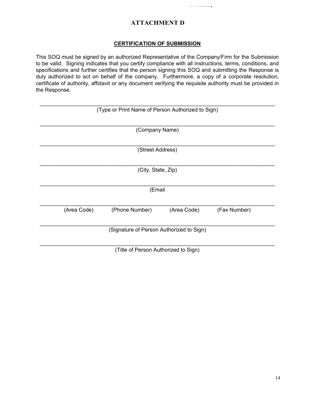#### **ATTACHMENT D**

#### **CERTIFICATION OF SUBMISSION**

This SOQ must be signed by an authorized Representative of the Company/Firm for the Submission to be valid. Signing indicates that you certify compliance with all instructions, terms, conditions, and specifications and further certifies that the person signing this SOQ and submitting the Response is duly authorized to act on behalf of the company. Furthermore, a copy of a corporate resolution, certificate of authority, affidavit or any document verifying the requisite authority must be provided in the Response.

| (Type or Print Name of Person Authorized to Sign) |                    |             |              |  |  |  |  |  |
|---------------------------------------------------|--------------------|-------------|--------------|--|--|--|--|--|
|                                                   |                    |             |              |  |  |  |  |  |
|                                                   |                    |             |              |  |  |  |  |  |
| (Company Name)                                    |                    |             |              |  |  |  |  |  |
|                                                   |                    |             |              |  |  |  |  |  |
|                                                   |                    |             |              |  |  |  |  |  |
|                                                   | (Street Address)   |             |              |  |  |  |  |  |
|                                                   |                    |             |              |  |  |  |  |  |
|                                                   | (City, State, Zip) |             |              |  |  |  |  |  |
|                                                   |                    |             |              |  |  |  |  |  |
|                                                   |                    |             |              |  |  |  |  |  |
| (Email                                            |                    |             |              |  |  |  |  |  |
|                                                   |                    |             |              |  |  |  |  |  |
|                                                   |                    |             |              |  |  |  |  |  |
| (Area Code)                                       | (Phone Number)     | (Area Code) | (Fax Number) |  |  |  |  |  |
|                                                   |                    |             |              |  |  |  |  |  |
|                                                   |                    |             |              |  |  |  |  |  |
| (Signature of Person Authorized to Sign)          |                    |             |              |  |  |  |  |  |
|                                                   |                    |             |              |  |  |  |  |  |
| (Title of Person Authorized to Sign)              |                    |             |              |  |  |  |  |  |
|                                                   |                    |             |              |  |  |  |  |  |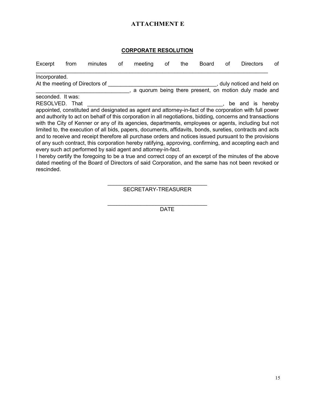#### **ATTACHMENT E**

#### **CORPORATE RESOLUTION**

| Excerpt           | from | minutes                                                      | оf | meeting | оf | the | Board | оf | <b>Directors</b>                                                                                                                                                                                                                                                                                                                                                                                                                                                                                                                                                                                                                                                                                                                                                       | оf |
|-------------------|------|--------------------------------------------------------------|----|---------|----|-----|-------|----|------------------------------------------------------------------------------------------------------------------------------------------------------------------------------------------------------------------------------------------------------------------------------------------------------------------------------------------------------------------------------------------------------------------------------------------------------------------------------------------------------------------------------------------------------------------------------------------------------------------------------------------------------------------------------------------------------------------------------------------------------------------------|----|
| Incorporated.     |      |                                                              |    |         |    |     |       |    |                                                                                                                                                                                                                                                                                                                                                                                                                                                                                                                                                                                                                                                                                                                                                                        |    |
|                   |      | At the meeting of Directors of                               |    |         |    |     |       |    | , duly noticed and held on                                                                                                                                                                                                                                                                                                                                                                                                                                                                                                                                                                                                                                                                                                                                             |    |
|                   |      |                                                              |    |         |    |     |       |    | , a quorum being there present, on motion duly made and                                                                                                                                                                                                                                                                                                                                                                                                                                                                                                                                                                                                                                                                                                                |    |
| seconded. It was: |      |                                                              |    |         |    |     |       |    |                                                                                                                                                                                                                                                                                                                                                                                                                                                                                                                                                                                                                                                                                                                                                                        |    |
| RESOLVED. That    |      |                                                              |    |         |    |     |       |    | be and is hereby                                                                                                                                                                                                                                                                                                                                                                                                                                                                                                                                                                                                                                                                                                                                                       |    |
|                   |      | every such act performed by said agent and attorney-in-fact. |    |         |    |     |       |    | appointed, constituted and designated as agent and attorney-in-fact of the corporation with full power<br>and authority to act on behalf of this corporation in all negotiations, bidding, concerns and transactions<br>with the City of Kenner or any of its agencies, departments, employees or agents, including but not<br>limited to, the execution of all bids, papers, documents, affidavits, bonds, sureties, contracts and acts<br>and to receive and receipt therefore all purchase orders and notices issued pursuant to the provisions<br>of any such contract, this corporation hereby ratifying, approving, confirming, and accepting each and<br>I hereby certify the foregoing to be a true and correct copy of an excerpt of the minutes of the above |    |
| rescinded.        |      |                                                              |    |         |    |     |       |    | dated meeting of the Board of Directors of said Corporation, and the same has not been revoked or                                                                                                                                                                                                                                                                                                                                                                                                                                                                                                                                                                                                                                                                      |    |

\_\_\_\_\_\_\_\_\_\_\_\_\_\_\_\_\_\_\_\_\_\_\_\_\_\_\_\_\_\_\_\_\_ SECRETARY-TREASURER

\_\_\_\_\_\_\_\_\_\_\_\_\_\_\_\_\_\_\_\_\_\_\_\_\_\_\_\_\_\_\_\_\_ DATE